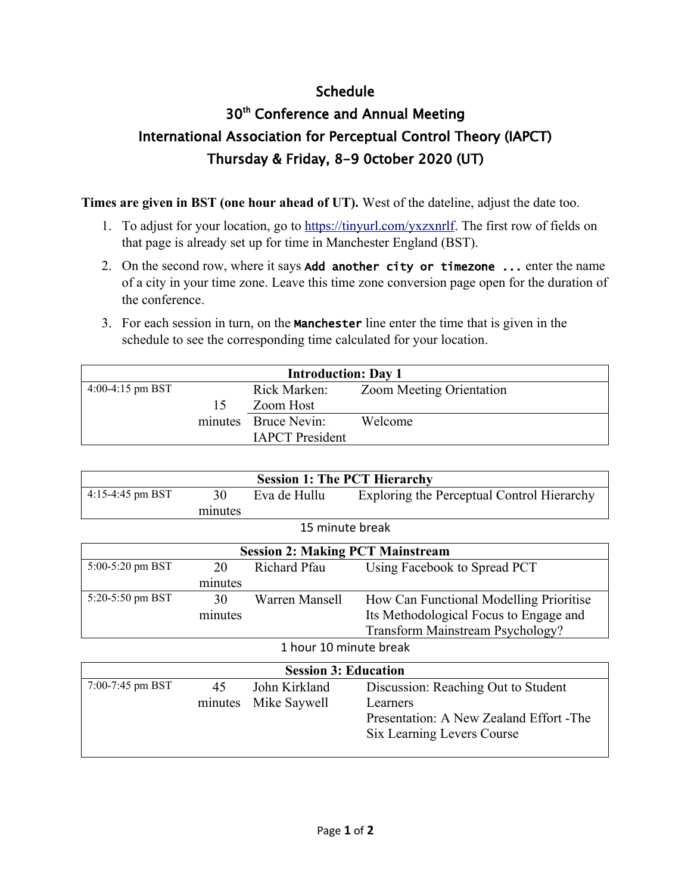## Schedule

## 30<sup>th</sup> Conference and Annual Meeting International Association for Perceptual Control Theory (IAPCT) Thursday & Friday, 8-9 0ctober 2020 (UT)

**Times are given in BST (one hour ahead of UT).** West of the dateline, adjust the date too.

- 1. To adjust for your location, go to<https://tinyurl.com/yxzxnrlf>. The first row of fields on that page is already set up for time in Manchester England (BST).
- 2. On the second row, where it says Add another city or timezone ... enter the name of a city in your time zone. Leave this time zone conversion page open for the duration of the conference.
- 3. For each session in turn, on the **Manchester** line enter the time that is given in the schedule to see the corresponding time calculated for your location.

| <b>Introduction: Day 1</b> |     |                        |                                 |
|----------------------------|-----|------------------------|---------------------------------|
| 4:00-4:15 pm BST           |     | Rick Marken:           | <b>Zoom Meeting Orientation</b> |
|                            | 15. | Zoom Host              |                                 |
|                            |     | minutes Bruce Nevin:   | Welcome                         |
|                            |     | <b>IAPCT</b> President |                                 |

| <b>Session 1: The PCT Hierarchy</b> |         |                                         |                                            |  |
|-------------------------------------|---------|-----------------------------------------|--------------------------------------------|--|
| 4:15-4:45 pm BST                    | 30      | Eva de Hullu                            | Exploring the Perceptual Control Hierarchy |  |
|                                     | minutes |                                         |                                            |  |
| 15 minute break                     |         |                                         |                                            |  |
|                                     |         | <b>Session 2: Making PCT Mainstream</b> |                                            |  |
| 5:00-5:20 pm BST                    | 20      | Richard Pfau                            | Using Facebook to Spread PCT               |  |
|                                     | minutes |                                         |                                            |  |
| 5:20-5:50 pm BST                    | 30      | Warren Mansell                          | How Can Functional Modelling Prioritise    |  |
|                                     | minutes |                                         | Its Methodological Focus to Engage and     |  |
|                                     |         |                                         | Transform Mainstream Psychology?           |  |
| 1 hour 10 minute break              |         |                                         |                                            |  |
| <b>Session 3: Education</b>         |         |                                         |                                            |  |
| 7:00-7:45 pm BST                    | 45      | John Kirkland                           | Discussion: Reaching Out to Student        |  |
|                                     | minutes | Mike Saywell                            | Learners                                   |  |
|                                     |         |                                         | Presentation: A New Zealand Effort - The   |  |
|                                     |         |                                         | Six Learning Levers Course                 |  |
|                                     |         |                                         |                                            |  |